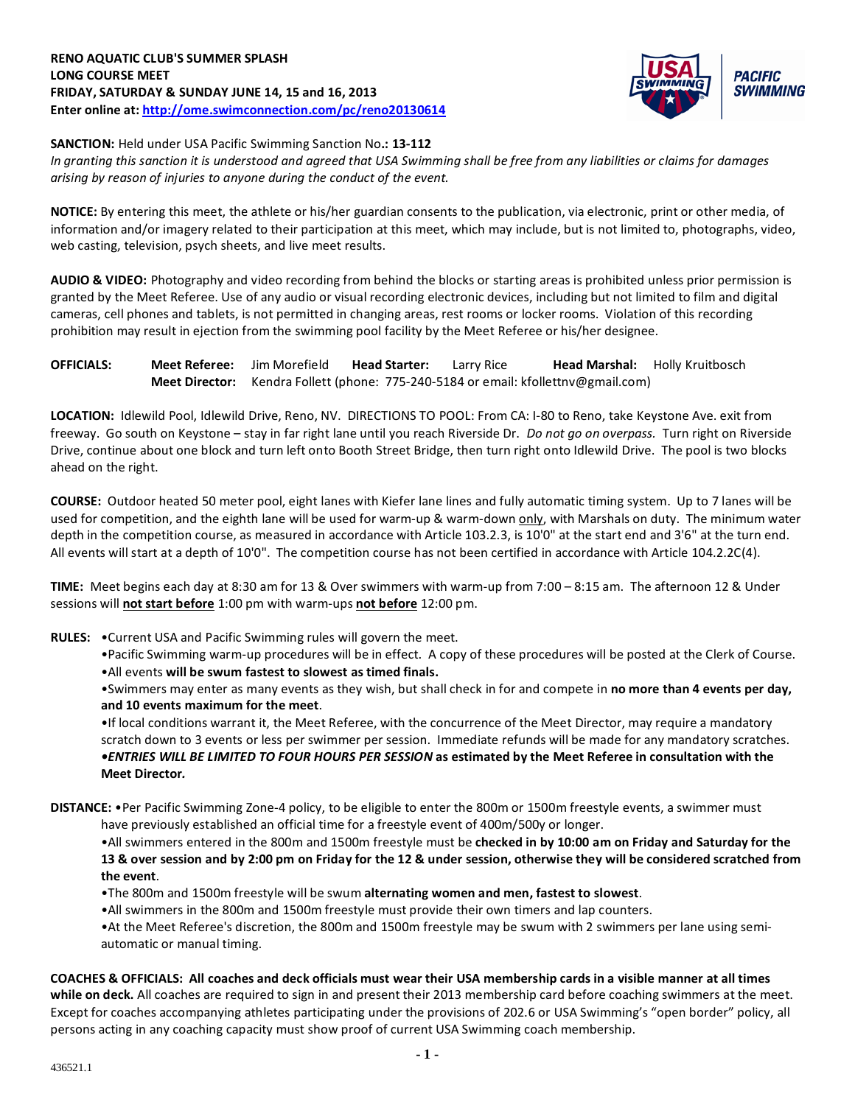

**SANCTION:** Held under USA Pacific Swimming Sanction No**.: 13-112**

*In granting this sanction it is understood and agreed that USA Swimming shall be free from any liabilities or claims for damages arising by reason of injuries to anyone during the conduct of the event.*

**NOTICE:** By entering this meet, the athlete or his/her guardian consents to the publication, via electronic, print or other media, of information and/or imagery related to their participation at this meet, which may include, but is not limited to, photographs, video, web casting, television, psych sheets, and live meet results.

**AUDIO & VIDEO:** Photography and video recording from behind the blocks or starting areas is prohibited unless prior permission is granted by the Meet Referee. Use of any audio or visual recording electronic devices, including but not limited to film and digital cameras, cell phones and tablets, is not permitted in changing areas, rest rooms or locker rooms. Violation of this recording prohibition may result in ejection from the swimming pool facility by the Meet Referee or his/her designee.

# **OFFICIALS: Meet Referee:** Jim Morefield **Head Starter:** Larry Rice **Head Marshal:** Holly Kruitbosch **Meet Director:** Kendra Follett (phone: 775-240-5184 or email: kfollettnv@gmail.com)

**LOCATION:** Idlewild Pool, Idlewild Drive, Reno, NV. DIRECTIONS TO POOL: From CA: I-80 to Reno, take Keystone Ave. exit from freeway. Go south on Keystone – stay in far right lane until you reach Riverside Dr. *Do not go on overpass.* Turn right on Riverside Drive, continue about one block and turn left onto Booth Street Bridge, then turn right onto Idlewild Drive. The pool is two blocks ahead on the right.

**COURSE:** Outdoor heated 50 meter pool, eight lanes with Kiefer lane lines and fully automatic timing system. Up to 7 lanes will be used for competition, and the eighth lane will be used for warm-up & warm-down only, with Marshals on duty. The minimum water depth in the competition course, as measured in accordance with Article 103.2.3, is 10'0" at the start end and 3'6" at the turn end. All events will start at a depth of 10'0". The competition course has not been certified in accordance with Article 104.2.2C(4).

**TIME:** Meet begins each day at 8:30 am for 13 & Over swimmers with warm-up from 7:00 – 8:15 am. The afternoon 12 & Under sessions will **not start before** 1:00 pm with warm-ups **not before** 12:00 pm.

- **RULES:** •Current USA and Pacific Swimming rules will govern the meet.
	- •Pacific Swimming warm-up procedures will be in effect. A copy of these procedures will be posted at the Clerk of Course.
	- •All events **will be swum fastest to slowest as timed finals.**

•Swimmers may enter as many events as they wish, but shall check in for and compete in **no more than 4 events per day, and 10 events maximum for the meet**.

•If local conditions warrant it, the Meet Referee, with the concurrence of the Meet Director, may require a mandatory scratch down to 3 events or less per swimmer per session. Immediate refunds will be made for any mandatory scratches. *•ENTRIES WILL BE LIMITED TO FOUR HOURS PER SESSION* **as estimated by the Meet Referee in consultation with the Meet Director***.*

**DISTANCE:** •Per Pacific Swimming Zone-4 policy, to be eligible to enter the 800m or 1500m freestyle events, a swimmer must

have previously established an official time for a freestyle event of 400m/500y or longer.

•All swimmers entered in the 800m and 1500m freestyle must be **checked in by 10:00 am on Friday and Saturday for the 13 & over session and by 2:00 pm on Friday for the 12 & under session, otherwise they will be considered scratched from the event**.

•The 800m and 1500m freestyle will be swum **alternating women and men, fastest to slowest**.

•All swimmers in the 800m and 1500m freestyle must provide their own timers and lap counters.

•At the Meet Referee's discretion, the 800m and 1500m freestyle may be swum with 2 swimmers per lane using semiautomatic or manual timing.

# **COACHES & OFFICIALS: All coaches and deck officials must wear their USA membership cards in a visible manner at all times**

**while on deck.** All coaches are required to sign in and present their 2013 membership card before coaching swimmers at the meet. Except for coaches accompanying athletes participating under the provisions of 202.6 or USA Swimming's "open border" policy, all persons acting in any coaching capacity must show proof of current USA Swimming coach membership.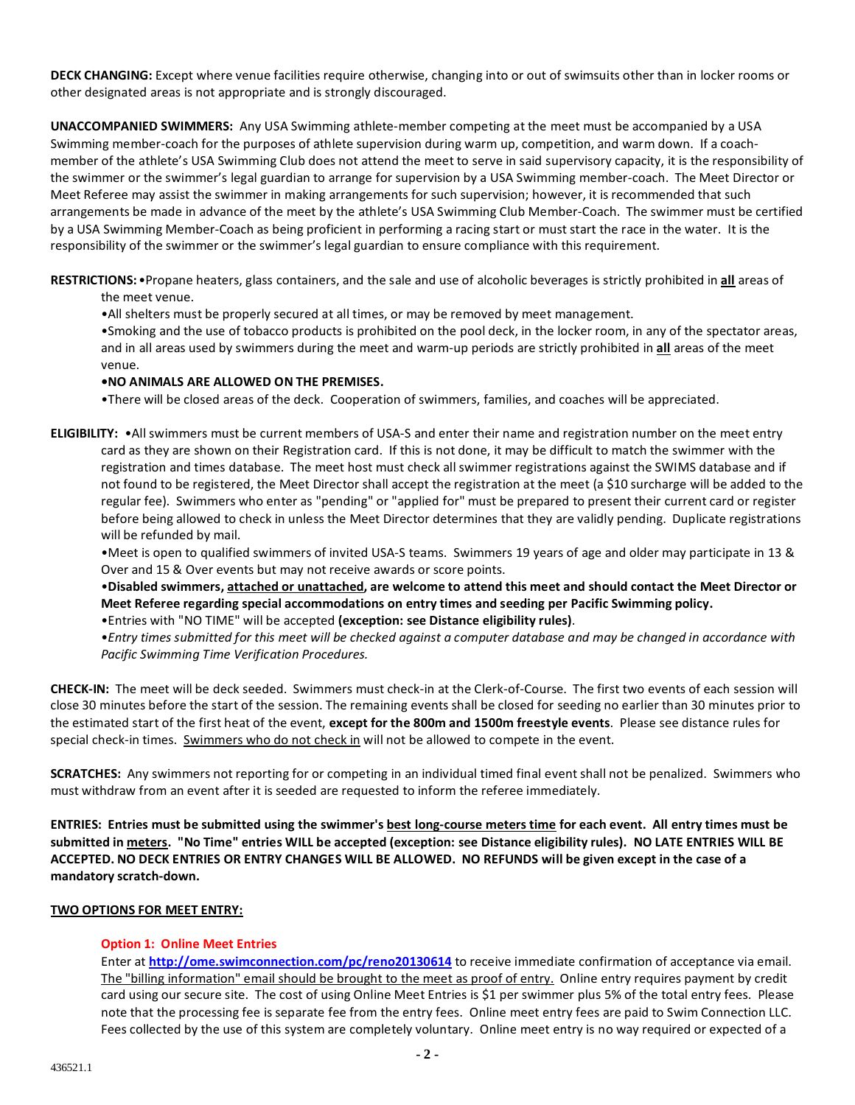**DECK CHANGING:** Except where venue facilities require otherwise, changing into or out of swimsuits other than in locker rooms or other designated areas is not appropriate and is strongly discouraged.

**UNACCOMPANIED SWIMMERS:** Any USA Swimming athlete-member competing at the meet must be accompanied by a USA Swimming member-coach for the purposes of athlete supervision during warm up, competition, and warm down. If a coachmember of the athlete's USA Swimming Club does not attend the meet to serve in said supervisory capacity, it is the responsibility of the swimmer or the swimmer's legal guardian to arrange for supervision by a USA Swimming member-coach. The Meet Director or Meet Referee may assist the swimmer in making arrangements for such supervision; however, it is recommended that such arrangements be made in advance of the meet by the athlete's USA Swimming Club Member-Coach. The swimmer must be certified by a USA Swimming Member-Coach as being proficient in performing a racing start or must start the race in the water. It is the responsibility of the swimmer or the swimmer's legal guardian to ensure compliance with this requirement.

**RESTRICTIONS:**•Propane heaters, glass containers, and the sale and use of alcoholic beverages is strictly prohibited in **all** areas of the meet venue.

•All shelters must be properly secured at all times, or may be removed by meet management.

•Smoking and the use of tobacco products is prohibited on the pool deck, in the locker room, in any of the spectator areas, and in all areas used by swimmers during the meet and warm-up periods are strictly prohibited in **all** areas of the meet venue.

# **•NO ANIMALS ARE ALLOWED ON THE PREMISES.**

•There will be closed areas of the deck. Cooperation of swimmers, families, and coaches will be appreciated.

**ELIGIBILITY:** •All swimmers must be current members of USA-S and enter their name and registration number on the meet entry card as they are shown on their Registration card. If this is not done, it may be difficult to match the swimmer with the registration and times database. The meet host must check all swimmer registrations against the SWIMS database and if not found to be registered, the Meet Director shall accept the registration at the meet (a \$10 surcharge will be added to the regular fee). Swimmers who enter as "pending" or "applied for" must be prepared to present their current card or register before being allowed to check in unless the Meet Director determines that they are validly pending. Duplicate registrations will be refunded by mail.

•Meet is open to qualified swimmers of invited USA-S teams. Swimmers 19 years of age and older may participate in 13 & Over and 15 & Over events but may not receive awards or score points.

•**Disabled swimmers, attached or unattached, are welcome to attend this meet and should contact the Meet Director or Meet Referee regarding special accommodations on entry times and seeding per Pacific Swimming policy.**

•Entries with "NO TIME" will be accepted **(exception: see Distance eligibility rules)**.

•*Entry times submitted for this meet will be checked against a computer database and may be changed in accordance with Pacific Swimming Time Verification Procedures.*

**CHECK-IN:** The meet will be deck seeded. Swimmers must check-in at the Clerk-of-Course. The first two events of each session will close 30 minutes before the start of the session. The remaining events shall be closed for seeding no earlier than 30 minutes prior to the estimated start of the first heat of the event, **except for the 800m and 1500m freestyle events**. Please see distance rules for special check-in times.Swimmers who do not check in will not be allowed to compete in the event.

**SCRATCHES:** Any swimmers not reporting for or competing in an individual timed final event shall not be penalized. Swimmers who must withdraw from an event after it is seeded are requested to inform the referee immediately.

**ENTRIES: Entries must be submitted using the swimmer's best long-course meters time for each event. All entry times must be submitted in meters. "No Time" entries WILL be accepted (exception: see Distance eligibility rules). NO LATE ENTRIES WILL BE ACCEPTED. NO DECK ENTRIES OR ENTRY CHANGES WILL BE ALLOWED. NO REFUNDS will be given except in the case of a mandatory scratch-down.**

# **TWO OPTIONS FOR MEET ENTRY:**

# **Option 1: Online Meet Entries**

Enter at **<http://ome.swimconnection.com/pc/reno20130614>** to receive immediate confirmation of acceptance via email. The "billing information" email should be brought to the meet as proof of entry. Online entry requires payment by credit card using our secure site. The cost of using Online Meet Entries is \$1 per swimmer plus 5% of the total entry fees. Please note that the processing fee is separate fee from the entry fees. Online meet entry fees are paid to Swim Connection LLC. Fees collected by the use of this system are completely voluntary. Online meet entry is no way required or expected of a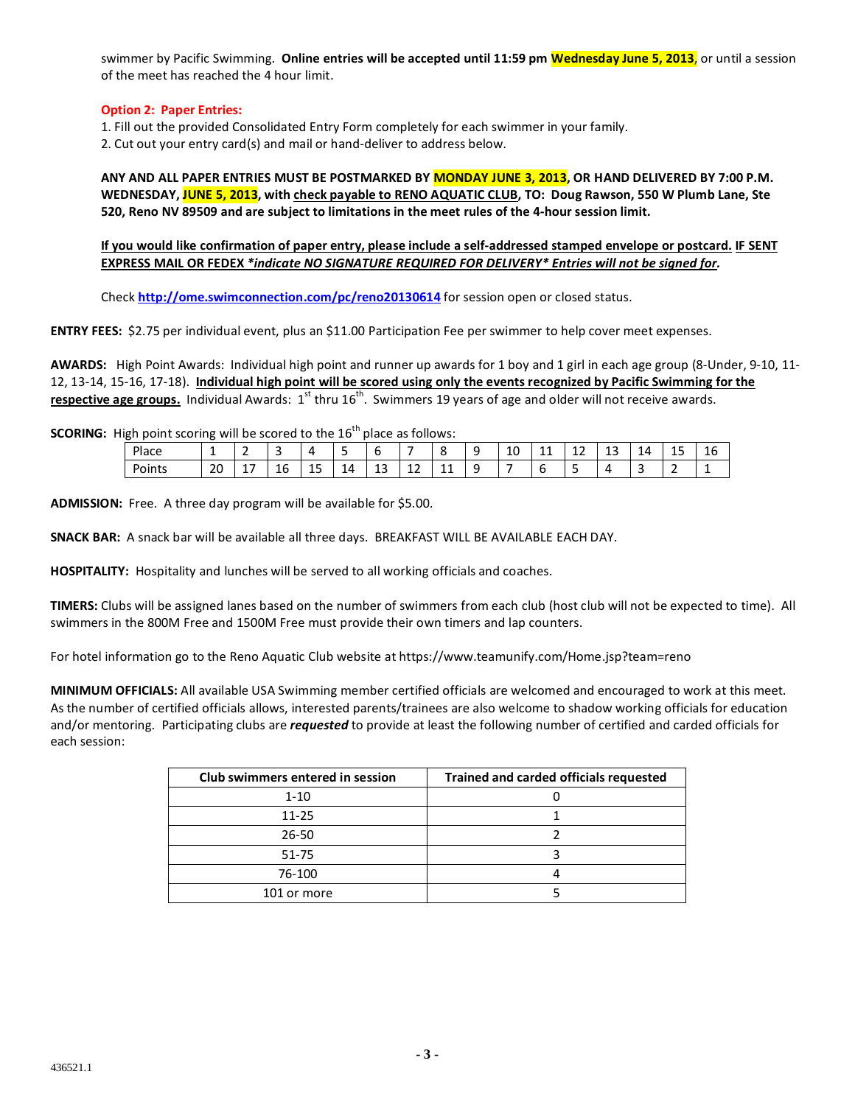swimmer by Pacific Swimming. **Online entries will be accepted until 11:59 pm Wednesday June 5, 2013**, or until a session of the meet has reached the 4 hour limit.

# **Option 2: Paper Entries:**

1. Fill out the provided Consolidated Entry Form completely for each swimmer in your family.

2. Cut out your entry card(s) and mail or hand-deliver to address below.

**ANY AND ALL PAPER ENTRIES MUST BE POSTMARKED BY MONDAY JUNE 3, 2013, OR HAND DELIVERED BY 7:00 P.M. WEDNESDAY, JUNE 5, 2013, with check payable to RENO AQUATIC CLUB, TO: Doug Rawson, 550 W Plumb Lane, Ste 520, Reno NV 89509 and are subject to limitations in the meet rules of the 4-hour session limit.**

**If you would like confirmation of paper entry, please include a self-addressed stamped envelope or postcard. IF SENT EXPRESS MAIL OR FEDEX** *\*indicate NO SIGNATURE REQUIRED FOR DELIVERY\* Entries will not be signed for.*

Check **<http://ome.swimconnection.com/pc/reno20130614>** for session open or closed status.

**ENTRY FEES:** \$2.75 per individual event, plus an \$11.00 Participation Fee per swimmer to help cover meet expenses.

**AWARDS:** High Point Awards: Individual high point and runner up awards for 1 boy and 1 girl in each age group (8-Under, 9-10, 11- 12, 13-14, 15-16, 17-18). **Individual high point will be scored using only the events recognized by Pacific Swimming for the**  respective age groups. Individual Awards: 1<sup>st</sup> thru 16<sup>th</sup>. Swimmers 19 years of age and older will not receive awards.

**SCORING:** High point scoring will be scored to the 16<sup>th</sup> place as follows:

| ັ      | . . |                 |              |          |    |             |             |                     |               |    |                            |                     |              |    |         |              |
|--------|-----|-----------------|--------------|----------|----|-------------|-------------|---------------------|---------------|----|----------------------------|---------------------|--------------|----|---------|--------------|
| Place  | -   |                 |              |          |    | -           |             | o                   | -<br>. .<br>ے | 10 | $\overline{ }$<br>-4<br>-- | $\sim$<br>ᅩᄼ<br>$-$ | $\sim$<br>-- | 14 | 15<br>ᅩ | $\sim$<br>16 |
| Points | 20  | . .<br><b>.</b> | $\sim$<br>Ιb | . .<br>ᅩ | 14 | $\sim$<br>ᅩ | $\sim$<br>ᆠ | $\overline{A}$<br>ᆠ | . .<br>-      |    |                            | ۰                   | . .          |    |         |              |

**ADMISSION:** Free. A three day program will be available for \$5.00.

**SNACK BAR:** A snack bar will be available all three days. BREAKFAST WILL BE AVAILABLE EACH DAY.

**HOSPITALITY:** Hospitality and lunches will be served to all working officials and coaches.

**TIMERS:** Clubs will be assigned lanes based on the number of swimmers from each club (host club will not be expected to time). All swimmers in the 800M Free and 1500M Free must provide their own timers and lap counters.

For hotel information go to the Reno Aquatic Club website at https://www.teamunify.com/Home.jsp?team=reno

**MINIMUM OFFICIALS:** All available USA Swimming member certified officials are welcomed and encouraged to work at this meet. As the number of certified officials allows, interested parents/trainees are also welcome to shadow working officials for education and/or mentoring. Participating clubs are *requested* to provide at least the following number of certified and carded officials for each session:

| Club swimmers entered in session | <b>Trained and carded officials requested</b> |
|----------------------------------|-----------------------------------------------|
| $1 - 10$                         |                                               |
| $11 - 25$                        |                                               |
| $26 - 50$                        |                                               |
| $51 - 75$                        |                                               |
| 76-100                           |                                               |
| 101 or more                      |                                               |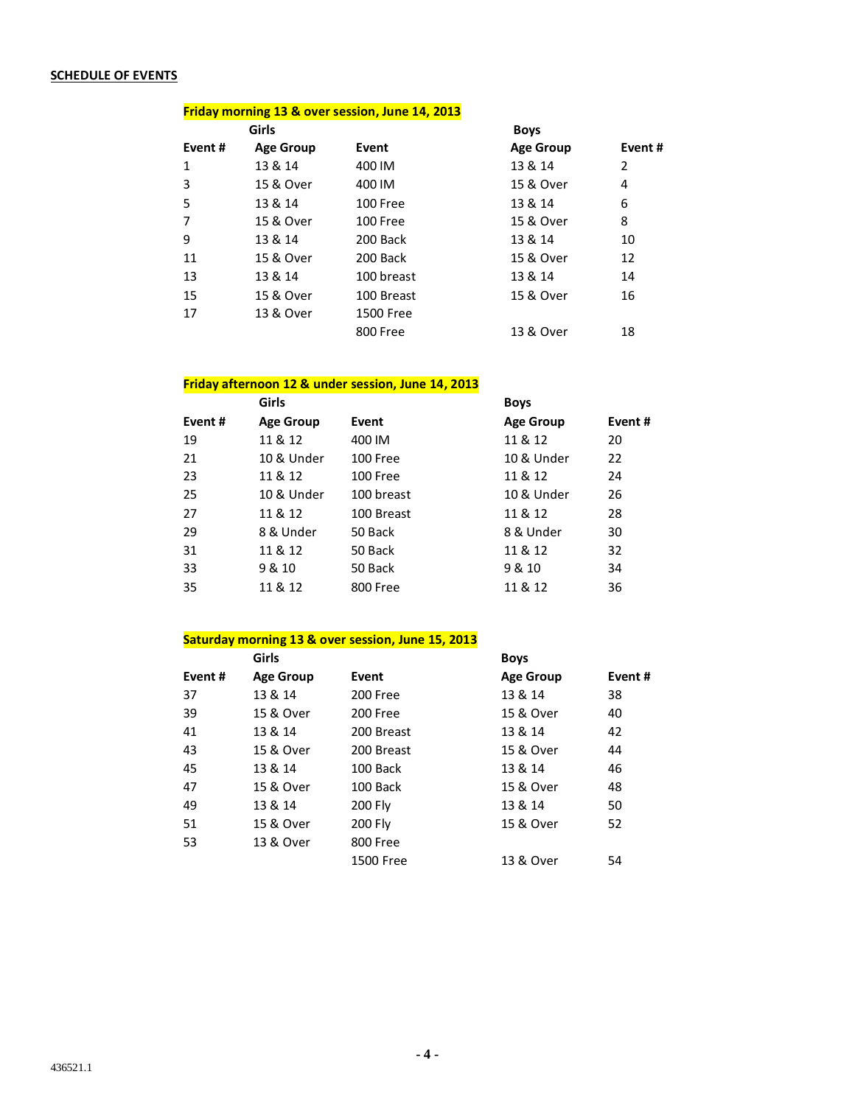# **SCHEDULE OF EVENTS**

#### **Friday morning 13 & over session, June 14, 2013**

|        | Girls            |            | <b>Boys</b>      |        |
|--------|------------------|------------|------------------|--------|
| Event# | <b>Age Group</b> | Event      | <b>Age Group</b> | Event# |
| 1      | 13 & 14          | 400 IM     | 13 & 14          | 2      |
| 3      | 15 & Over        | 400 IM     | 15 & Over        | 4      |
| 5      | 13 & 14          | 100 Free   | 13 & 14          | 6      |
| 7      | 15 & Over        | 100 Free   | 15 & Over        | 8      |
| 9      | 13 & 14          | 200 Back   | 13 & 14          | 10     |
| 11     | 15 & Over        | 200 Back   | 15 & Over        | 12     |
| 13     | 13 & 14          | 100 breast | 13 & 14          | 14     |
| 15     | 15 & Over        | 100 Breast | 15 & Over        | 16     |
| 17     | 13 & Over        | 1500 Free  |                  |        |
|        |                  | 800 Free   | 13 & Over        | 18     |

# **Friday afternoon 12 & under session, June 14, 2013**

| <b>Girls</b>     |            | <b>Boys</b>      |        |
|------------------|------------|------------------|--------|
| <b>Age Group</b> | Event      | <b>Age Group</b> | Event# |
| 11 & 12          | 400 IM     | 11 & 12          | 20     |
| 10 & Under       | 100 Free   | 10 & Under       | 22     |
| 11 & 12          | 100 Free   | 11 & 12          | 24     |
| 10 & Under       | 100 breast | 10 & Under       | 26     |
| 11 & 12          | 100 Breast | 11 & 12          | 28     |
| 8 & Under        | 50 Back    | 8 & Under        | 30     |
| 11 & 12          | 50 Back    | 11 & 12          | 32     |
| 9 & 10           | 50 Back    | 9 & 10           | 34     |
| 11 & 12          | 800 Free   | 11 & 12          | 36     |
|                  |            |                  |        |

# **Saturday morning 13 & over session, June 15, 2013**

|        | Girls            |                | <b>Boys</b>      |        |
|--------|------------------|----------------|------------------|--------|
| Event# | <b>Age Group</b> | Event          | <b>Age Group</b> | Event# |
| 37     | 13 & 14          | 200 Free       | 13 & 14          | 38     |
| 39     | 15 & Over        | 200 Free       | 15 & Over        | 40     |
| 41     | 13 & 14          | 200 Breast     | 13 & 14          | 42     |
| 43     | 15 & Over        | 200 Breast     | 15 & Over        | 44     |
| 45     | 13 & 14          | 100 Back       | 13 & 14          | 46     |
| 47     | 15 & Over        | 100 Back       | 15 & Over        | 48     |
| 49     | 13 & 14          | <b>200 Fly</b> | 13 & 14          | 50     |
| 51     | 15 & Over        | 200 Fly        | 15 & Over        | 52     |
| 53     | 13 & Over        | 800 Free       |                  |        |
|        |                  | 1500 Free      | 13 & Over        | 54     |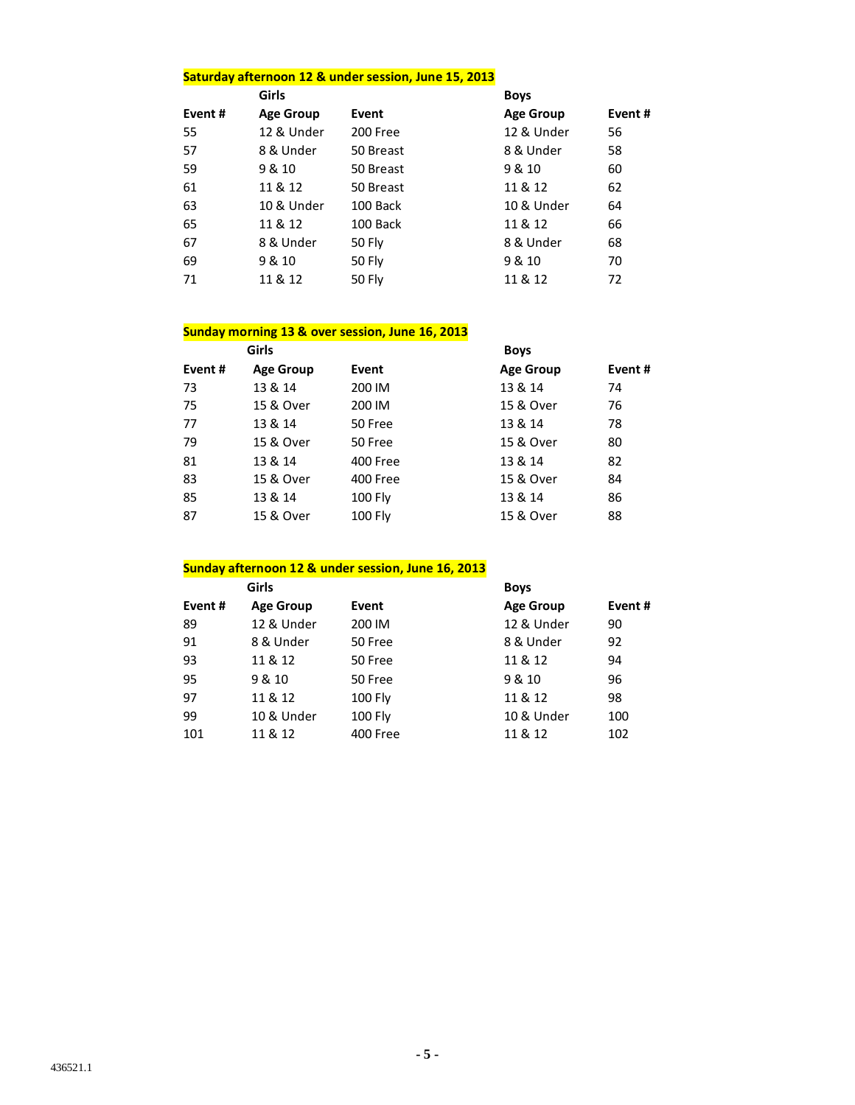# **Saturday afternoon 12 & under session, June 15, 2013**

|        | <b>Girls</b>     |               | <b>Boys</b>      |        |
|--------|------------------|---------------|------------------|--------|
| Event# | <b>Age Group</b> | Event         | <b>Age Group</b> | Event# |
| 55     | 12 & Under       | 200 Free      | 12 & Under       | 56     |
| 57     | 8 & Under        | 50 Breast     | 8 & Under        | 58     |
| 59     | 9 & 10           | 50 Breast     | 9 & 10           | 60     |
| 61     | 11 & 12          | 50 Breast     | 11 & 12          | 62     |
| 63     | 10 & Under       | 100 Back      | 10 & Under       | 64     |
| 65     | 11 & 12          | 100 Back      | 11 & 12          | 66     |
| 67     | 8 & Under        | 50 Fly        | 8 & Under        | 68     |
| 69     | 9 & 10           | <b>50 Fly</b> | 9 & 10           | 70     |
| 71     | 11 & 12          | 50 Fly        | 11 & 12          | 72     |

#### **Sunday morning 13 & over session, June 16, 2013**

|        | <b>Girls</b>     |                | <b>Boys</b>      |        |
|--------|------------------|----------------|------------------|--------|
| Event# | <b>Age Group</b> | Event          | <b>Age Group</b> | Event# |
| 73     | 13 & 14          | 200 IM         | 13 & 14          | 74     |
| 75     | 15 & Over        | 200 IM         | 15 & Over        | 76     |
| 77     | 13 & 14          | 50 Free        | 13 & 14          | 78     |
| 79     | 15 & Over        | 50 Free        | 15 & Over        | 80     |
| 81     | 13 & 14          | 400 Free       | 13 & 14          | 82     |
| 83     | 15 & Over        | 400 Free       | 15 & Over        | 84     |
| 85     | 13 & 14          | <b>100 Fly</b> | 13 & 14          | 86     |
| 87     | 15 & Over        | <b>100 Fly</b> | 15 & Over        | 88     |

# **Sunday afternoon 12 & under session, June 16, 2013**

| Girls            |                | <b>Boys</b>      |        |
|------------------|----------------|------------------|--------|
| <b>Age Group</b> | Event          | <b>Age Group</b> | Event# |
| 12 & Under       | 200 IM         | 12 & Under       | 90     |
| 8 & Under        | 50 Free        | 8 & Under        | 92     |
| 11 & 12          | 50 Free        | 11 & 12          | 94     |
| 9 & 10           | 50 Free        | 9 & 10           | 96     |
| 11 & 12          | <b>100 Fly</b> | 11 & 12          | 98     |
| 10 & Under       | <b>100 Fly</b> | 10 & Under       | 100    |
| 11 & 12          | 400 Free       | 11 & 12          | 102    |
|                  |                |                  |        |